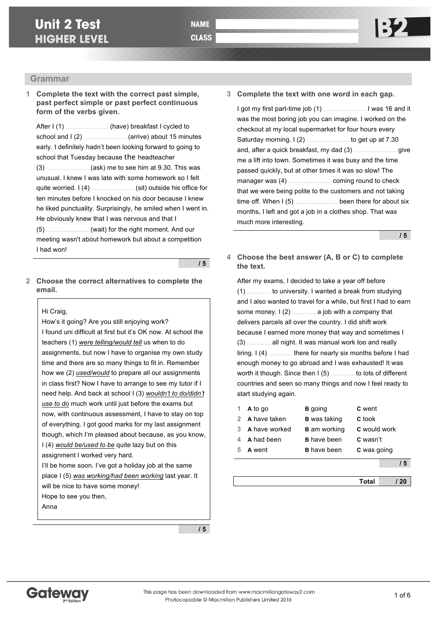# **Unit 2 Test HIGHER LEVEL**

## **Grammar**

**1 Complete the text with the correct past simple, past perfect simple or past perfect continuous form of the verbs given.**

After I (1) ……………………… (have) breakfast I cycled to school and I (2) ……………………… (arrive) about 15 minutes early. I definitely hadn't been looking forward to going to school that Tuesday because the headteacher (3) ……………………… (ask) me to see him at 9.30. This was unusual. I knew I was late with some homework so I felt quite worried. I (4) ……………………… (sit) outside his office for ten minutes before I knocked on his door because I knew he liked punctuality. Surprisingly, he smiled when I went in. He obviously knew that I was nervous and that I (5) ……………………… (wait) for the right moment. And our meeting wasn't about homework but about a competition I had won!

**/ 5**

**2 Choose the correct alternatives to complete the email.**

#### Hi Craig,

How's it going? Are you still enjoying work? I found uni difficult at first but it's OK now. At school the teachers (1) *were telling/would tell* us when to do assignments, but now I have to organise my own study time and there are so many things to fit in. Remember how we (2) *used/would* to prepare all our assignments in class first? Now I have to arrange to see my tutor if I need help. And back at school I (3) *wouldn't to do/didn't use to do* much work until just before the exams but now, with continuous assessment, I have to stay on top of everything. I got good marks for my last assignment though, which I'm pleased about because, as you know, I (4) *would be/used to be* quite lazy but on this assignment I worked very hard. I'll be home soon. I've got a holiday job at the same place I (5) *was working/had been working* last year. It will be nice to have some money!

Hope to see you then,

Anna

**3 Complete the text with one word in each gap.**

I got my first part-time job (1) ……………………… I was 16 and it was the most boring job you can imagine. I worked on the checkout at my local supermarket for four hours every Saturday morning. I (2) ……………………… to get up at 7.30 and, after a quick breakfast, my dad (3) ……………………… give me a lift into town. Sometimes it was busy and the time passed quickly, but at other times it was so slow! The manager was (4) ……………………… coming round to check that we were being polite to the customers and not taking time off. When I (5) ……………………… been there for about six months, I left and got a job in a clothes shop. That was much more interesting.

**/ 5**

**4 Choose the best answer (A, B or C) to complete the text.**

After my exams, I decided to take a year off before (1) …………… to university. I wanted a break from studying and I also wanted to travel for a while, but first I had to earn some money. I (2) …………… a job with a company that delivers parcels all over the country. I did shift work because I earned more money that way and sometimes I (3) …………… all night. It was manual work too and really tiring. I (4) …………… there for nearly six months before I had enough money to go abroad and I was exhausted! It was worth it though. Since then I (5) …………… to lots of different countries and seen so many things and now I feel ready to start studying again.

|               | A to go       | <b>B</b> going      | C went              |
|---------------|---------------|---------------------|---------------------|
| $\mathcal{P}$ | A have taken  | <b>B</b> was taking | <b>C</b> took       |
| З             | A have worked | <b>B</b> am working | <b>C</b> would work |
|               | A had been    | <b>B</b> have been  | C wasn't            |
|               | A went        | <b>B</b> have been  | C was going         |
|               |               |                     | 15                  |
|               |               |                     |                     |



**/ 5**

**Total / 20**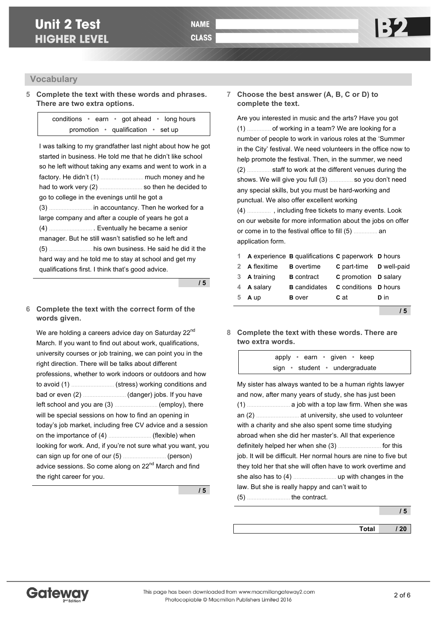**5 Complete the text with these words and phrases. There are two extra options.**

> conditions • earn • got ahead • long hours promotion • qualification • set up

I was talking to my grandfather last night about how he got started in business. He told me that he didn't like school so he left without taking any exams and went to work in a factory. He didn't (1) ……………………… much money and he had to work very (2) ……………………… so then he decided to go to college in the evenings until he got a (3) ……………………… in accountancy. Then he worked for a large company and after a couple of years he got a (4) ……………………… . Eventually he became a senior manager. But he still wasn't satisfied so he left and (5) ……………………… his own business. He said he did it the hard way and he told me to stay at school and get my qualifications first. I think that's good advice.

**/ 5**

#### **6 Complete the text with the correct form of the words given.**

We are holding a careers advice day on Saturday 22<sup>nd</sup> March. If you want to find out about work, qualifications, university courses or job training, we can point you in the right direction. There will be talks about different professions, whether to work indoors or outdoors and how to avoid (1) ……………………… (stress) working conditions and bad or even (2) ……………………… (danger) jobs. If you have left school and you are (3) ……………………… (employ), there will be special sessions on how to find an opening in today's job market, including free CV advice and a session on the importance of (4) ……………………… (flexible) when looking for work. And, if you're not sure what you want, you can sign up for one of our (5) ……………………… (person) advice sessions. So come along on 22<sup>nd</sup> March and find the right career for you.

**/ 5**

#### **7 Choose the best answer (A, B, C or D) to complete the text.**

Are you interested in music and the arts? Have you got (1) …………… of working in a team? We are looking for a number of people to work in various roles at the 'Summer in the City' festival. We need volunteers in the office now to help promote the festival. Then, in the summer, we need (2) …………… staff to work at the different venues during the shows. We will give you full (3) …………… so you don't need any special skills, but you must be hard-working and punctual. We also offer excellent working

(4) …………… , including free tickets to many events. Look on our website for more information about the jobs on offer or come in to the festival office to fill (5) …………… an application form.

|   |               | 1 A experience <b>B</b> qualifications <b>C</b> paperwork <b>D</b> hours |                                       |      |
|---|---------------|--------------------------------------------------------------------------|---------------------------------------|------|
|   | 2 A flexitime | <b>B</b> overtime                                                        | <b>C</b> part-time <b>D</b> well-paid |      |
|   | 3 A training  | <b>B</b> contract                                                        | C promotion D salary                  |      |
|   | 4 A salary    | <b>B</b> candidates                                                      | <b>C</b> conditions <b>D</b> hours    |      |
| 5 | A up          | <b>B</b> over                                                            | C at                                  | D in |
|   |               |                                                                          |                                       |      |

**/ 5**

**8 Complete the text with these words. There are two extra words.**

> apply • earn • given • keep sign • student • undergraduate

| My sister has always wanted to be a human rights lawyer<br>and now, after many years of study, she has just been |
|------------------------------------------------------------------------------------------------------------------|
|                                                                                                                  |
|                                                                                                                  |
| with a charity and she also spent some time studying                                                             |
| abroad when she did her master's. All that experience                                                            |
|                                                                                                                  |
| job. It will be difficult. Her normal hours are nine to five but                                                 |
| they told her that she will often have to work overtime and                                                      |
|                                                                                                                  |
| law. But she is really happy and can't wait to                                                                   |
|                                                                                                                  |

**/ 5**

**Total / 20**

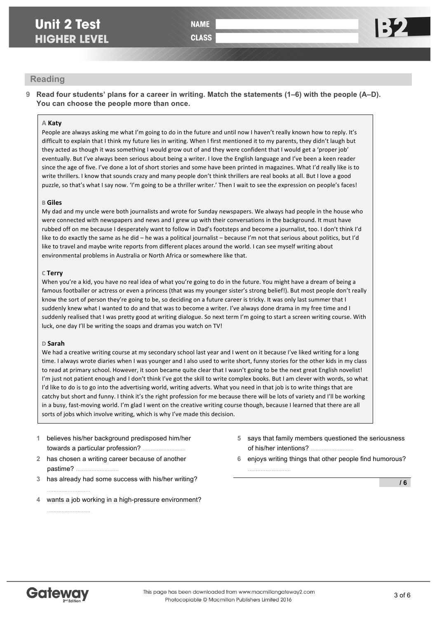## **Unit 2 Test HIGHER LEVEL**

# **NAME**

**CLASS** 

### **Reading**

**9 Read four students' plans for a career in writing. Match the statements (1–6) with the people (A–D). You can choose the people more than once.**

#### **A Katy**

People are always asking me what I'm going to do in the future and until now I haven't really known how to reply. It's difficult to explain that I think my future lies in writing. When I first mentioned it to my parents, they didn't laugh but they acted as though it was something I would grow out of and they were confident that I would get a 'proper job' eventually. But I've always been serious about being a writer. I love the English language and I've been a keen reader since the age of five. I've done a lot of short stories and some have been printed in magazines. What I'd really like is to write thrillers. I know that sounds crazy and many people don't think thrillers are real books at all. But I love a good puzzle, so that's what I say now. 'I'm going to be a thriller writer.' Then I wait to see the expression on people's faces!

#### **B Giles**

My dad and my uncle were both journalists and wrote for Sunday newspapers. We always had people in the house who were connected with newspapers and news and I grew up with their conversations in the background. It must have rubbed off on me because I desperately want to follow in Dad's footsteps and become a journalist, too. I don't think I'd like to do exactly the same as he did - he was a political journalist - because I'm not that serious about politics, but I'd like to travel and maybe write reports from different places around the world. I can see myself writing about environmental problems in Australia or North Africa or somewhere like that.

#### **C Terry**

When you're a kid, you have no real idea of what you're going to do in the future. You might have a dream of being a famous footballer or actress or even a princess (that was my younger sister's strong belief!). But most people don't really know the sort of person they're going to be, so deciding on a future career is tricky. It was only last summer that I suddenly knew what I wanted to do and that was to become a writer. I've always done drama in my free time and I suddenly realised that I was pretty good at writing dialogue. So next term I'm going to start a screen writing course. With luck, one day I'll be writing the soaps and dramas you watch on TV!

#### **D Sarah**

We had a creative writing course at my secondary school last year and I went on it because I've liked writing for a long time. I always wrote diaries when I was younger and I also used to write short, funny stories for the other kids in my class to read at primary school. However, it soon became quite clear that I wasn't going to be the next great English novelist! I'm just not patient enough and I don't think I've got the skill to write complex books. But I am clever with words, so what I'd like to do is to go into the advertising world, writing adverts. What you need in that job is to write things that are catchy but short and funny. I think it's the right profession for me because there will be lots of variety and I'll be working in a busy, fast-moving world. I'm glad I went on the creative writing course though, because I learned that there are all sorts of jobs which involve writing, which is why I've made this decision.

- **1** believes his/her background predisposed him/her towards a particular profession?
- **2** has chosen a writing career because of another pastime? ………………………
- **3** has already had some success with his/her writing?
- **4** wants a job working in a high-pressure environment?
- **5** says that family members questioned the seriousness of his/her intentions?
- **6** enjoys writing things that other people find humorous?

………………………

**/ 6**



………………………

………………………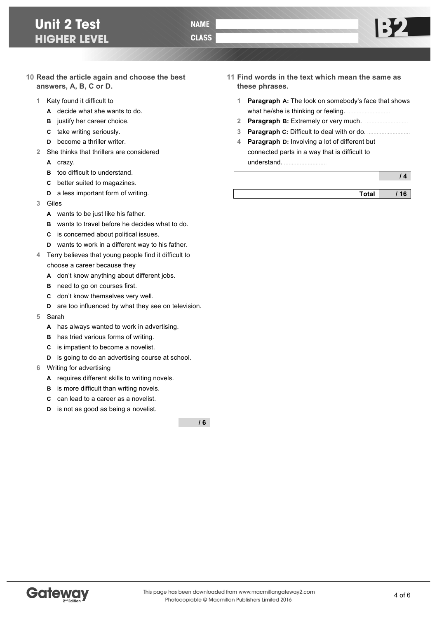# **Unit 2 Test HIGHER LEVEL**

- **10 Read the article again and choose the best answers, A, B, C or D.**
	- **1** Katy found it difficult to
		- **A** decide what she wants to do.
		- **B** justify her career choice.
		- **C** take writing seriously.
		- **D** become a thriller writer.
	- **2** She thinks that thrillers are considered
		- **A** crazy.
		- **B** too difficult to understand.
		- **C** better suited to magazines.
		- **D** a less important form of writing.
	- **3** Giles
		- **A** wants to be just like his father.
		- **B** wants to travel before he decides what to do.
		- **C** is concerned about political issues.
		- **D** wants to work in a different way to his father.
	- **4** Terry believes that young people find it difficult to choose a career because they
		- **A** don't know anything about different jobs.
		- **B** need to go on courses first.
		- **C** don't know themselves very well.
		- **D** are too influenced by what they see on television.
	- **5** Sarah
		- **A** has always wanted to work in advertising.
		- **B** has tried various forms of writing.
		- **C** is impatient to become a novelist.
		- **D** is going to do an advertising course at school.
	- **6** Writing for advertising
		- **A** requires different skills to writing novels.
		- **B** is more difficult than writing novels.
		- **C** can lead to a career as a novelist.
		- **D** is not as good as being a novelist.

**/ 6**

- **11 Find words in the text which mean the same as these phrases.**
	- **1 Paragraph A:** The look on somebody's face that shows what he/she is thinking or feeling.
	- **2 Paragraph B:** Extremely or very much. ………………………
	- **3 Paragraph C:** Difficult to deal with or do. ………………………
	- **4 Paragraph D:** Involving a lot of different but connected parts in a way that is difficult to understand. ………………………

**/ 4**

| отан |  |
|------|--|

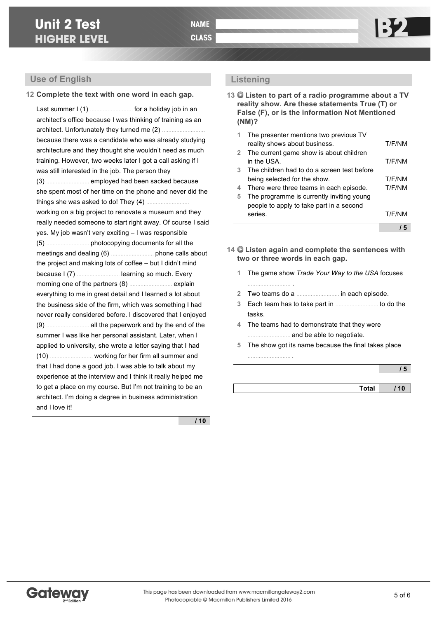### **Use of English**

#### **12 Complete the text with one word in each gap.**

Last summer I (1) ……………………… for a holiday job in an architect's office because I was thinking of training as an architect. Unfortunately they turned me (2) ……………………… because there was a candidate who was already studying architecture and they thought she wouldn't need as much training. However, two weeks later I got a call asking if I was still interested in the job. The person they (3) ……………………… employed had been sacked because she spent most of her time on the phone and never did the things she was asked to do! They (4) ……………………… working on a big project to renovate a museum and they really needed someone to start right away. Of course I said yes. My job wasn't very exciting – I was responsible (5) ……………………… photocopying documents for all the meetings and dealing (6) ……………………… phone calls about the project and making lots of coffee – but I didn't mind because I (7) ……………………… learning so much. Every morning one of the partners (8) ……………………… explain everything to me in great detail and I learned a lot about the business side of the firm, which was something I had never really considered before. I discovered that I enjoyed (9) ……………………… all the paperwork and by the end of the summer I was like her personal assistant. Later, when I applied to university, she wrote a letter saying that I had (10) ……………………… working for her firm all summer and that I had done a good job. I was able to talk about my experience at the interview and I think it really helped me to get a place on my course. But I'm not training to be an architect. I'm doing a degree in business administration and I love it!

**/ 10**

### **Listening**

**13 Listen to part of a radio programme about a TV reality show. Are these statements True (T) or False (F), or is the information Not Mentioned (NM)?**

| 1.          | The presenter mentions two previous TV      |        |
|-------------|---------------------------------------------|--------|
|             | reality shows about business.               | T/F/NM |
| $2^{\circ}$ | The current game show is about children     |        |
|             | in the USA.                                 | T/F/NM |
| 3           | The children had to do a screen test before |        |
|             | being selected for the show.                | T/F/NM |
| 4           | There were three teams in each episode.     | T/F/NM |
| 5           | The programme is currently inviting young   |        |
|             | people to apply to take part in a second    |        |
|             | series.                                     | T/F/NM |
|             |                                             |        |
|             |                                             |        |

- **14 Listen again and complete the sentences with two or three words in each gap.**
	- **1** The game show *Trade Your Way to the USA* focuses ……………………… .
	- **2** Two teams do a ……………………… in each episode.
	- **3** Each team has to take part in ……………………… to do the tasks.
	- **4** The teams had to demonstrate that they were ……………………… and be able to negotiate.

……………………… .

**5** The show got its name because the final takes place

|--|

| Total<br>. |  |
|------------|--|